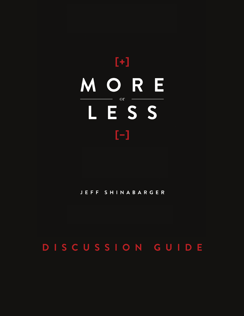# MORE **or** LESS  $\left[ -\right] % \includegraphics[width=0.9\columnwidth]{figures/200.pdf} \caption{The graph $\mathcal{N}_1$ is a function of the parameter $\mathcal{N}_1$ and $\mathcal{N}_2$ is a function of the parameter $\mathcal{N}_1$ and $\mathcal{N}_2$ is a function of the parameter $\mathcal{N}_1$ and $\mathcal{N}_2$ is a function of the parameter $\mathcal{N}_1$ and $\mathcal{N}_2$ is a function of the parameter $\mathcal{N}_1$ and $\mathcal{N}_2$ is a function of the parameter $\mathcal{N}_1$.} \label{fig:2}$

#### JEFF SHINABARGER

# DISCUSSION GUIDE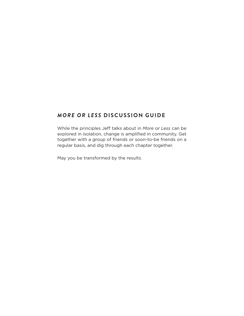#### *More or Less* **Discussion Guide**

While the principles Jeff talks about in *More or Less* can be explored in isolation, change is amplified in community. Get together with a group of friends or soon-to-be friends on a regular basis, and dig through each chapter together.

May you be transformed by the results.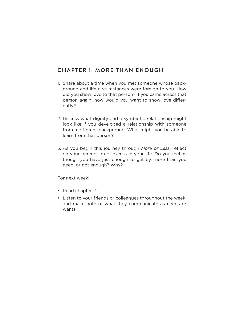#### **Chapter 1: More Than Enough**

- 1. Share about a time when you met someone whose background and life circumstances were foreign to you. How did you show love to that person? If you came across that person again, how would you want to show love differently?
- 2. Discuss what dignity and a symbiotic relationship might look like if you developed a relationship with someone from a different background. What might you be able to learn from that person?
- 3. As you begin this journey through *More or Less*, reflect on your perception of excess in your life. Do you feel as though you have just enough to get by, more than you need, or not enough? Why?

- Read chapter 2.
- Listen to your friends or colleagues throughout the week, and make note of what they communicate as needs or wants.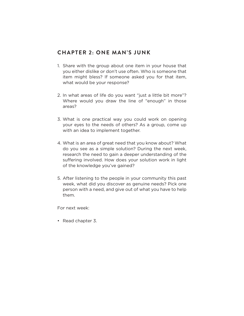#### **Chapter 2: One Man's Junk**

- 1. Share with the group about one item in your house that you either dislike or don't use often. Who is someone that item might bless? If someone asked you for that item, what would be your response?
- 2. In what areas of life do you want "just a little bit more"? Where would you draw the line of "enough" in those areas?
- 3. What is one practical way you could work on opening your eyes to the needs of others? As a group, come up with an idea to implement together.
- 4. What is an area of great need that you know about? What do you see as a simple solution? During the next week, research the need to gain a deeper understanding of the suffering involved. How does your solution work in light of the knowledge you've gained?
- 5. After listening to the people in your community this past week, what did you discover as genuine needs? Pick one person with a need, and give out of what you have to help them.

For next week:

• Read chapter 3.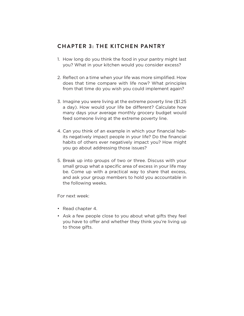#### **Chapter 3: The Kitchen Pantry**

- 1. How long do you think the food in your pantry might last you? What in your kitchen would you consider excess?
- 2. Reflect on a time when your life was more simplified. How does that time compare with life now? What principles from that time do you wish you could implement again?
- 3. Imagine you were living at the extreme poverty line (\$1.25 a day). How would your life be different? Calculate how many days your average monthly grocery budget would feed someone living at the extreme poverty line.
- 4. Can you think of an example in which your financial habits negatively impact people in your life? Do the financial habits of others ever negatively impact you? How might you go about addressing those issues?
- 5. Break up into groups of two or three. Discuss with your small group what a specific area of excess in your life may be. Come up with a practical way to share that excess, and ask your group members to hold you accountable in the following weeks.

- Read chapter 4.
- Ask a few people close to you about what gifts they feel you have to offer and whether they think you're living up to those gifts.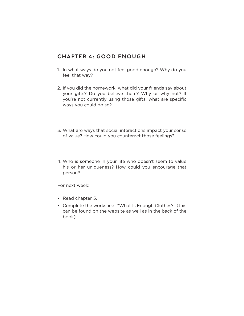#### **Chapter 4: Good Enough**

- 1. In what ways do you not feel good enough? Why do you feel that way?
- 2. If you did the homework, what did your friends say about your gifts? Do you believe them? Why or why not? If you're not currently using those gifts, what are specific ways you could do so?
- 3. What are ways that social interactions impact your sense of value? How could you counteract those feelings?
- 4. Who is someone in your life who doesn't seem to value his or her uniqueness? How could you encourage that person?

- Read chapter 5.
- Complete the worksheet "What Is Enough Clothes?" (this can be found on the website as well as in the back of the book).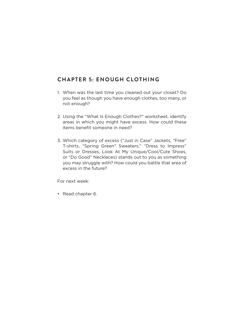## **Chapter 5: Enough Clothing**

- 1. When was the last time you cleaned out your closet? Do you feel as though you have enough clothes, too many, or not enough?
- 2. Using the "What Is Enough Clothes?" worksheet, identify areas in which you might have excess. How could these items benefit someone in need?
- 3. Which category of excess ("Just in Case" Jackets, "Free" T-shirts, "Spring Green" Sweaters," "Dress to Impress" Suits or Dresses, Look At My Unique/Cool/Cute Shoes, or "Do Good" Necklaces) stands out to you as something you may struggle with? How could you battle that area of excess in the future?

For next week:

• Read chapter 6.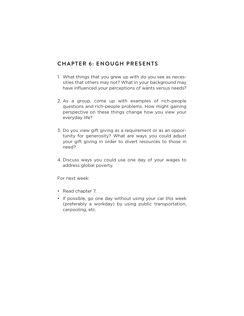#### **Chapter 6: Enough Presents**

- 1. What things that you grew up with do you see as necessities that others may not? What in your background may have influenced your perceptions of wants versus needs?
- 2. As a group, come up with examples of rich-people questions and rich-people problems. How might gaining perspective on these things change how you view your everyday life?
- 3. Do you view gift giving as a requirement or as an opportunity for generosity? What are ways you could adjust your gift giving in order to divert resources to those in need?
- 4. Discuss ways you could use one day of your wages to address global poverty.

- Read chapter 7.
- If possible, go one day without using your car this week (preferably a workday) by using public transportation, carpooling, etc.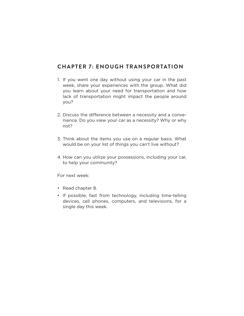#### **Chapter 7: Enough Transportation**

- 1. If you went one day without using your car in the past week, share your experiences with the group. What did you learn about your need for transportation and how lack of transportation might impact the people around you?
- 2. Discuss the difference between a necessity and a convenience. Do you view your car as a necessity? Why or why not?
- 3. Think about the items you use on a regular basis. What would be on your list of things you can't live without?
- 4. How can you utilize your possessions, including your car, to help your community?

- Read chapter 8.
- If possible, fast from technology, including time-telling devices, cell phones, computers, and televisions, for a single day this week.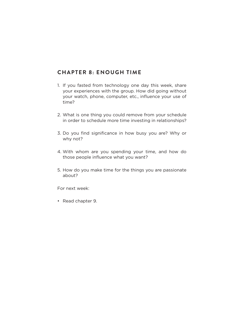#### **Chapter 8: Enough Time**

- 1. If you fasted from technology one day this week, share your experiences with the group. How did going without your watch, phone, computer, etc., influence your use of time?
- 2. What is one thing you could remove from your schedule in order to schedule more time investing in relationships?
- 3. Do you find significance in how busy you are? Why or why not?
- 4. With whom are you spending your time, and how do those people influence what you want?
- 5. How do you make time for the things you are passionate about?

For next week:

• Read chapter 9.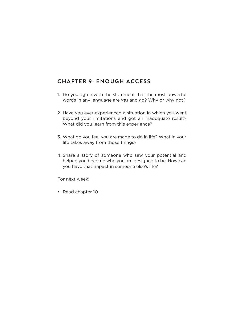# **Chapter 9: Enough Access**

- 1. Do you agree with the statement that the most powerful words in any language are *yes* and *no*? Why or why not?
- 2. Have you ever experienced a situation in which you went beyond your limitations and got an inadequate result? What did you learn from this experience?
- 3. What do you feel you are made to do in life? What in your life takes away from those things?
- 4. Share a story of someone who saw your potential and helped you become who you are designed to be. How can you have that impact in someone else's life?

For next week:

• Read chapter 10.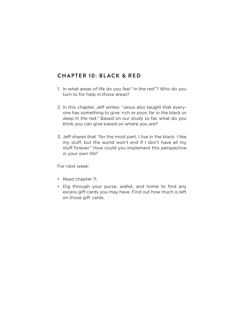#### **Chapter 10: Black & Red**

- 1. In what areas of life do you feel "in the red"? Who do you turn to for help in those areas?
- 2. In this chapter, Jeff writes: "Jesus also taught that everyone has something to give: rich or poor, far in the black or deep in the red." Based on our study so far, what do you think you can give based on where you are?
- 3. Jeff shares that "for the most part, I live in the black. I like my stuff, but the world won't end if I don't have all my stuff forever." How could you implement this perspective in your own life?

- Read chapter 11.
- Dig through your purse, wallet, and home to find any excess gift cards you may have. Find out how much is left on those gift cards.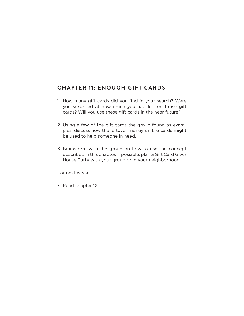#### **CHAPTER 11: ENOUGH GIFT CARDS**

- 1. How many gift cards did you find in your search? Were you surprised at how much you had left on those gift cards? Will you use these gift cards in the near future?
- 2. Using a few of the gift cards the group found as examples, discuss how the leftover money on the cards might be used to help someone in need.
- 3. Brainstorm with the group on how to use the concept described in this chapter. If possible, plan a Gift Card Giver House Party with your group or in your neighborhood.

For next week:

• Read chapter 12.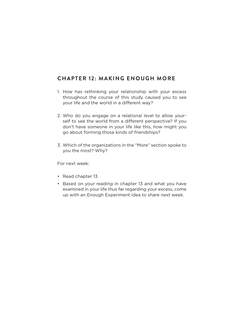## **Chapter 12: Making Enough More**

- 1. How has rethinking your relationship with your excess throughout the course of this study caused you to see your life and the world in a different way?
- 2. Who do you engage on a relational level to allow yourself to see the world from a different perspective? If you don't have someone in your life like this, how might you go about forming those kinds of friendships?
- 3. Which of the organizations in the "More" section spoke to you the most? Why?

- Read chapter 13.
- Based on your reading in chapter 13 and what you have examined in your life thus far regarding your excess, come up with an Enough Experiment idea to share next week.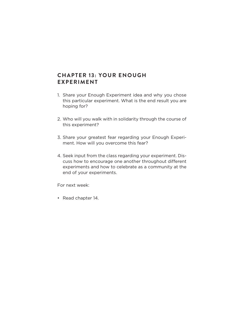#### **Chapter 13: Your Enough Experiment**

- 1. Share your Enough Experiment idea and why you chose this particular experiment. What is the end result you are hoping for?
- 2. Who will you walk with in solidarity through the course of this experiment?
- 3. Share your greatest fear regarding your Enough Experiment. How will you overcome this fear?
- 4. Seek input from the class regarding your experiment. Discuss how to encourage one another throughout different experiments and how to celebrate as a community at the end of your experiments.

For next week:

• Read chapter 14.